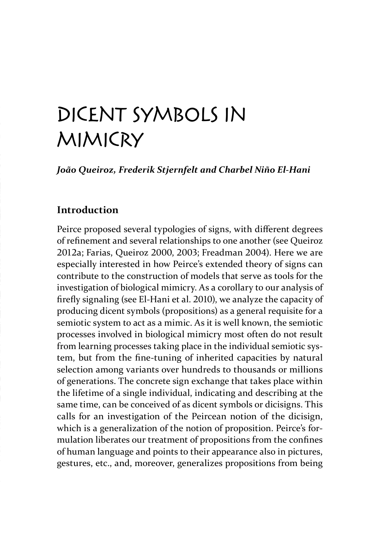## Dicent symbols in **MIMICRY**

*João Queiroz, Frederik Stjernfelt and Charbel Niño El-Hani*

## **Introduction**

Peirce proposed several typologies of signs, with different degrees of refinement and several relationships to one another (see Queiroz 2012a; Farias, Queiroz 2000, 2003; Freadman 2004). Here we are especially interested in how Peirce's extended theory of signs can contribute to the construction of models that serve as tools for the investigation of biological mimicry. As a corollary to our analysis of firefly signaling (see El-Hani et al. 2010), we analyze the capacity of producing dicent symbols (propositions) as a general requisite for a semiotic system to act as a mimic. As it is well known, the semiotic processes involved in biological mimicry most often do not result from learning processes taking place in the individual semiotic system, but from the fine-tuning of inherited capacities by natural selection among variants over hundreds to thousands or millions of generations. The concrete sign exchange that takes place within the lifetime of a single individual, indicating and describing at the same time, can be conceived of as dicent symbols or dicisigns. This calls for an investigation of the Peircean notion of the dicisign, which is a generalization of the notion of proposition. Peirce's formulation liberates our treatment of propositions from the confines of human language and points to their appearance also in pictures, gestures, etc., and, moreover, generalizes propositions from being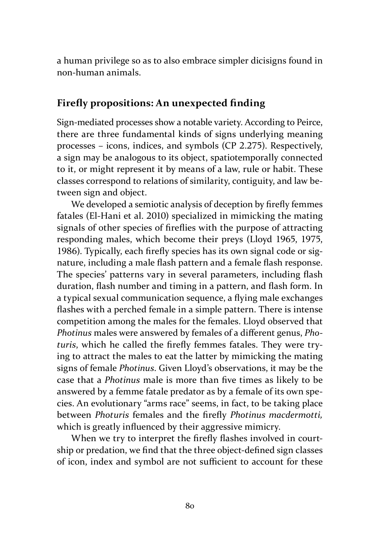a human privilege so as to also embrace simpler dicisigns found in non-human animals.

## **Firefly propositions: An unexpected finding**

Sign-mediated processes show a notable variety. According to Peirce, there are three fundamental kinds of signs underlying meaning processes – icons, indices, and symbols (CP 2.275). Respectively, a sign may be analogous to its object, spatiotemporally connected to it, or might represent it by means of a law, rule or habit. These classes correspond to relations of similarity, contiguity, and law between sign and object.

We developed a semiotic analysis of deception by firefly femmes fatales (El-Hani et al. 2010) specialized in mimicking the mating signals of other species of fireflies with the purpose of attracting responding males, which become their preys (Lloyd 1965, 1975, 1986). Typically, each firefly species has its own signal code or signature, including a male flash pattern and a female flash response. The species' patterns vary in several parameters, including flash duration, flash number and timing in a pattern, and flash form. In a typical sexual communication sequence, a flying male exchanges flashes with a perched female in a simple pattern. There is intense competition among the males for the females. Lloyd observed that *Photinus* males were answered by females of a different genus, *Photuris*, which he called the firefly femmes fatales. They were trying to attract the males to eat the latter by mimicking the mating signs of female *Photinus*. Given Lloyd's observations, it may be the case that a *Photinus* male is more than five times as likely to be answered by a femme fatale predator as by a female of its own species. An evolutionary "arms race" seems, in fact, to be taking place between *Photuris* females and the firefly *Photinus macdermotti,* which is greatly influenced by their aggressive mimicry.

When we try to interpret the firefly flashes involved in courtship or predation, we find that the three object-defined sign classes of icon, index and symbol are not sufficient to account for these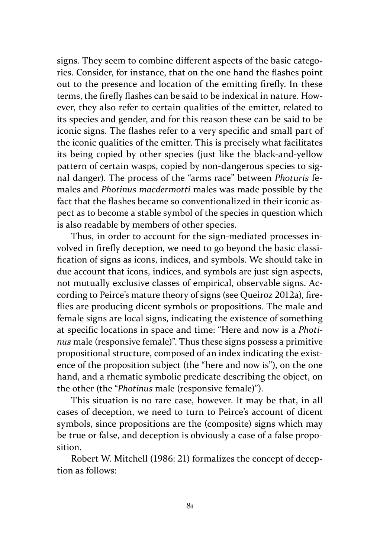signs. They seem to combine different aspects of the basic categories. Consider, for instance, that on the one hand the flashes point out to the presence and location of the emitting firefly. In these terms, the firefly flashes can be said to be indexical in nature. However, they also refer to certain qualities of the emitter, related to its species and gender, and for this reason these can be said to be iconic signs. The flashes refer to a very specific and small part of the iconic qualities of the emitter. This is precisely what facilitates its being copied by other species (just like the black-and-yellow pattern of certain wasps, copied by non-dangerous species to signal danger). The process of the "arms race" between *Photuris* females and *Photinus macdermotti* males was made possible by the fact that the flashes became so conventionalized in their iconic aspect as to become a stable symbol of the species in question which is also readable by members of other species.

Thus, in order to account for the sign-mediated processes involved in firefly deception, we need to go beyond the basic classification of signs as icons, indices, and symbols. We should take in due account that icons, indices, and symbols are just sign aspects, not mutually exclusive classes of empirical, observable signs. According to Peirce's mature theory of signs (see Queiroz 2012a), fireflies are producing dicent symbols or propositions. The male and female signs are local signs, indicating the existence of something at specific locations in space and time: "Here and now is a *Photinus* male (responsive female)". Thus these signs possess a primitive propositional structure, composed of an index indicating the existence of the proposition subject (the "here and now is"), on the one hand, and a rhematic symbolic predicate describing the object, on the other (the "*Photinus* male (responsive female)").

This situation is no rare case, however. It may be that, in all cases of deception, we need to turn to Peirce's account of dicent symbols, since propositions are the (composite) signs which may be true or false, and deception is obviously a case of a false proposition.

Robert W. Mitchell (1986: 21) formalizes the concept of deception as follows: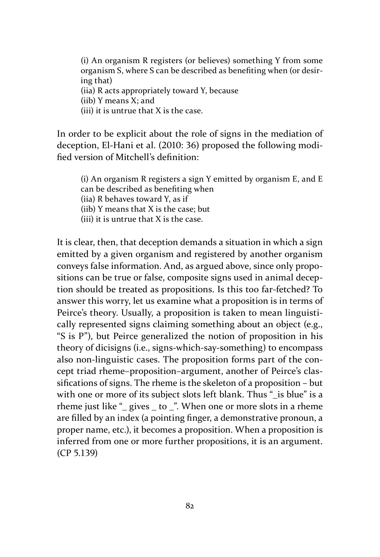(i) An organism R registers (or believes) something Y from some organism S, where S can be described as benefiting when (or desiring that)

(iia) R acts appropriately toward Y, because

(iib) Y means X; and

(iii) it is untrue that X is the case.

In order to be explicit about the role of signs in the mediation of deception, El-Hani et al. (2010: 36) proposed the following modified version of Mitchell's definition:

(i) An organism R registers a sign Y emitted by organism E, and E can be described as benefiting when

(iia) R behaves toward Y, as if

(iib) Y means that X is the case; but

(iii) it is untrue that X is the case.

It is clear, then, that deception demands a situation in which a sign emitted by a given organism and registered by another organism conveys false information. And, as argued above, since only propositions can be true or false, composite signs used in animal deception should be treated as propositions. Is this too far-fetched? To answer this worry, let us examine what a proposition is in terms of Peirce's theory. Usually, a proposition is taken to mean linguistically represented signs claiming something about an object (e.g., "S is P"), but Peirce generalized the notion of proposition in his theory of dicisigns (i.e., signs-which-say-something) to encompass also non-linguistic cases. The proposition forms part of the concept triad rheme–proposition–argument, another of Peirce's classifications of signs. The rheme is the skeleton of a proposition – but with one or more of its subject slots left blank. Thus "\_is blue" is a rheme just like "\_ gives \_ to \_". When one or more slots in a rheme are filled by an index (a pointing finger, a demonstrative pronoun, a proper name, etc.), it becomes a proposition. When a proposition is inferred from one or more further propositions, it is an argument. (CP 5.139)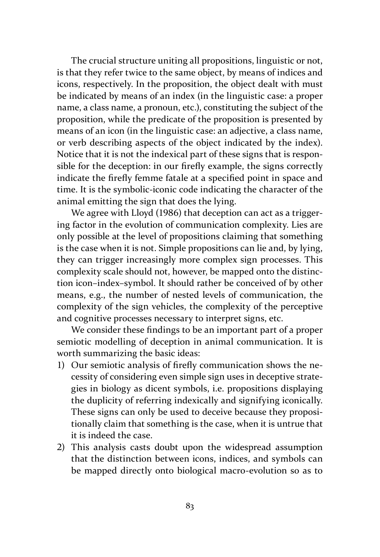The crucial structure uniting all propositions, linguistic or not, is that they refer twice to the same object, by means of indices and icons, respectively. In the proposition, the object dealt with must be indicated by means of an index (in the linguistic case: a proper name, a class name, a pronoun, etc.), constituting the subject of the proposition, while the predicate of the proposition is presented by means of an icon (in the linguistic case: an adjective, a class name, or verb describing aspects of the object indicated by the index). Notice that it is not the indexical part of these signs that is responsible for the deception: in our firefly example, the signs correctly indicate the firefly femme fatale at a specified point in space and time. It is the symbolic-iconic code indicating the character of the animal emitting the sign that does the lying.

We agree with Lloyd (1986) that deception can act as a triggering factor in the evolution of communication complexity. Lies are only possible at the level of propositions claiming that something is the case when it is not. Simple propositions can lie and, by lying, they can trigger increasingly more complex sign processes. This complexity scale should not, however, be mapped onto the distinction icon–index–symbol. It should rather be conceived of by other means, e.g., the number of nested levels of communication, the complexity of the sign vehicles, the complexity of the perceptive and cognitive processes necessary to interpret signs, etc.

We consider these findings to be an important part of a proper semiotic modelling of deception in animal communication. It is worth summarizing the basic ideas:

- 1) Our semiotic analysis of firefly communication shows the necessity of considering even simple sign uses in deceptive strategies in biology as dicent symbols, i.e. propositions displaying the duplicity of referring indexically and signifying iconically. These signs can only be used to deceive because they propositionally claim that something is the case, when it is untrue that it is indeed the case.
- 2) This analysis casts doubt upon the widespread assumption that the distinction between icons, indices, and symbols can be mapped directly onto biological macro-evolution so as to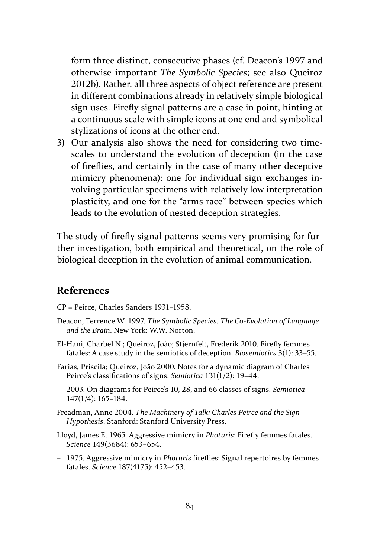form three distinct, consecutive phases (cf. Deacon's 1997 and otherwise important *The Symbolic Species*; see also Queiroz 2012b). Rather, all three aspects of object reference are present in different combinations already in relatively simple biological sign uses. Firefly signal patterns are a case in point, hinting at a continuous scale with simple icons at one end and symbolical stylizations of icons at the other end.

3) Our analysis also shows the need for considering two timescales to understand the evolution of deception (in the case of fireflies, and certainly in the case of many other deceptive mimicry phenomena): one for individual sign exchanges involving particular specimens with relatively low interpretation plasticity, and one for the "arms race" between species which leads to the evolution of nested deception strategies.

The study of firefly signal patterns seems very promising for further investigation, both empirical and theoretical, on the role of biological deception in the evolution of animal communication.

## **References**

CP = Peirce, Charles Sanders 1931–1958.

- Deacon, Terrence W. 1997. *The Symbolic Species. The Co-Evolution of Language and the Brain*. New York: W.W. Norton.
- El-Hani, Charbel N.; Queiroz, João; Stjernfelt, Frederik 2010. Firefly femmes fatales: A case study in the semiotics of deception. *Biosemiotics* 3(1): 33–55.
- Farias, Priscila; Queiroz, João 2000. Notes for a dynamic diagram of Charles Peirce's classifications of signs. *Semiotica* 131(1/2): 19–44.
- 2003. On diagrams for Peirce's 10, 28, and 66 classes of signs. *Semiotica*  147(1/4): 165–184.

Freadman, Anne 2004. *The Machinery of Talk: Charles Peirce and the Sign Hypothesis*. Stanford: Stanford University Press.

Lloyd, James E. 1965. Aggressive mimicry in *Photuris*: Firefly femmes fatales. *Science* 149(3684): 653–654.

– 1975. Aggressive mimicry in *Photuris* fireflies: Signal repertoires by femmes fatales. *Science* 187(4175): 452–453.